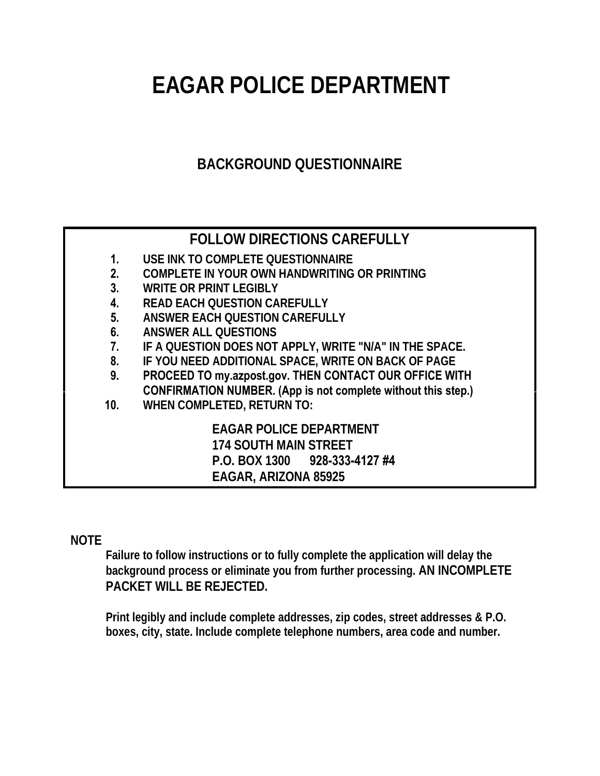# **EAGAR POLICE DEPARTMENT**

# **BACKGROUND QUESTIONNAIRE**

### **FOLLOW DIRECTIONS CAREFULLY 1. USE INK TO COMPLETE QUESTIONNAIRE 2. COMPLETE IN YOUR OWN HANDWRITING OR PRINTING 3. WRITE OR PRINT LEGIBLY 4. READ EACH QUESTION CAREFULLY 5. ANSWER EACH QUESTION CAREFULLY 6. ANSWER ALL QUESTIONS 7. IF A QUESTION DOES NOT APPLY, WRITE "N/A" IN THE SPACE. 8. IF YOU NEED ADDITIONAL SPACE, WRITE ON BACK OF PAGE 9. PROCEED TO my.azpost.gov. THEN CONTACT OUR OFFICE WITH CONFIRMATION NUMBER. (App is not complete without this step.) 10. WHEN COMPLETED, RETURN TO: EAGAR POLICE DEPARTMENT 174 SOUTH MAIN STREET P.O. BOX 1300 928-333-4127 #4 EAGAR, ARIZONA 85925**

## **NOTE**

**Failure to follow instructions or to fully complete the application will delay the background process or eliminate you from further processing. AN INCOMPLETE PACKET WILL BE REJECTED.** 

**Print legibly and include complete addresses, zip codes, street addresses & P.O. boxes, city, state. Include complete telephone numbers, area code and number.**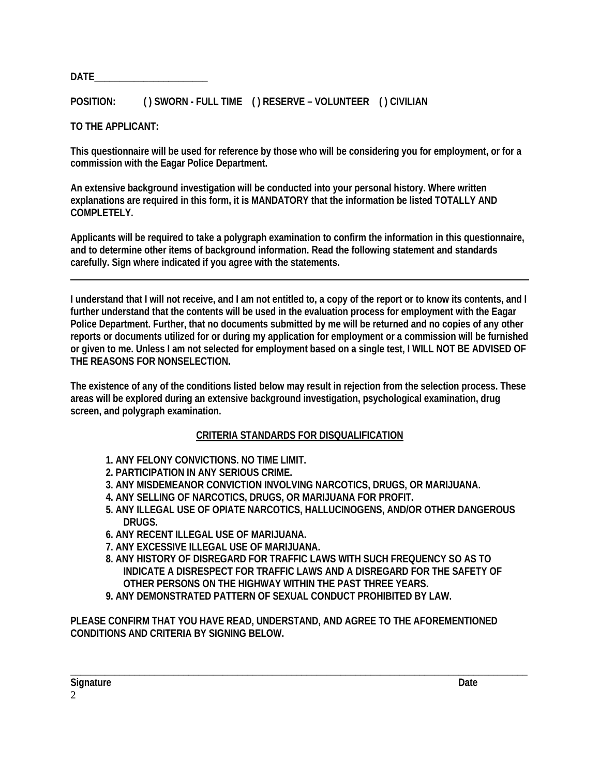**DATE\_\_\_\_\_\_\_\_\_\_\_\_\_\_\_\_\_\_\_\_\_\_\_** 

**POSITION: ( ) SWORN - FULL TIME ( ) RESERVE – VOLUNTEER ( ) CIVILIAN** 

**TO THE APPLICANT:** 

**This questionnaire will be used for reference by those who will be considering you for employment, or for a commission with the Eagar Police Department.** 

**An extensive background investigation will be conducted into your personal history. Where written explanations are required in this form, it is MANDATORY that the information be listed TOTALLY AND COMPLETELY.** 

**Applicants will be required to take a polygraph examination to confirm the information in this questionnaire, and to determine other items of background information. Read the following statement and standards carefully. Sign where indicated if you agree with the statements.** 

**I understand that I will not receive, and I am not entitled to, a copy of the report or to know its contents, and I further understand that the contents will be used in the evaluation process for employment with the Eagar Police Department. Further, that no documents submitted by me will be returned and no copies of any other reports or documents utilized for or during my application for employment or a commission will be furnished or given to me. Unless I am not selected for employment based on a single test, I WILL NOT BE ADVISED OF THE REASONS FOR NONSELECTION.** 

**The existence of any of the conditions listed below may result in rejection from the selection process. These areas will be explored during an extensive background investigation, psychological examination, drug screen, and polygraph examination.** 

#### **CRITERIA STANDARDS FOR DISQUALIFICATION**

- **1. ANY FELONY CONVICTIONS. NO TIME LIMIT.**
- **2. PARTICIPATION IN ANY SERIOUS CRIME.**
- **3. ANY MISDEMEANOR CONVICTION INVOLVING NARCOTICS, DRUGS, OR MARIJUANA.**
- **4. ANY SELLING OF NARCOTICS, DRUGS, OR MARIJUANA FOR PROFIT.**
- **5. ANY ILLEGAL USE OF OPIATE NARCOTICS, HALLUCINOGENS, AND/OR OTHER DANGEROUS DRUGS.**
- **6. ANY RECENT ILLEGAL USE OF MARIJUANA.**
- **7. ANY EXCESSIVE ILLEGAL USE OF MARIJUANA.**
- **8. ANY HISTORY OF DISREGARD FOR TRAFFIC LAWS WITH SUCH FREQUENCY SO AS TO INDICATE A DISRESPECT FOR TRAFFIC LAWS AND A DISREGARD FOR THE SAFETY OF OTHER PERSONS ON THE HIGHWAY WITHIN THE PAST THREE YEARS.**
- **9. ANY DEMONSTRATED PATTERN OF SEXUAL CONDUCT PROHIBITED BY LAW.**

**PLEASE CONFIRM THAT YOU HAVE READ, UNDERSTAND, AND AGREE TO THE AFOREMENTIONED CONDITIONS AND CRITERIA BY SIGNING BELOW.**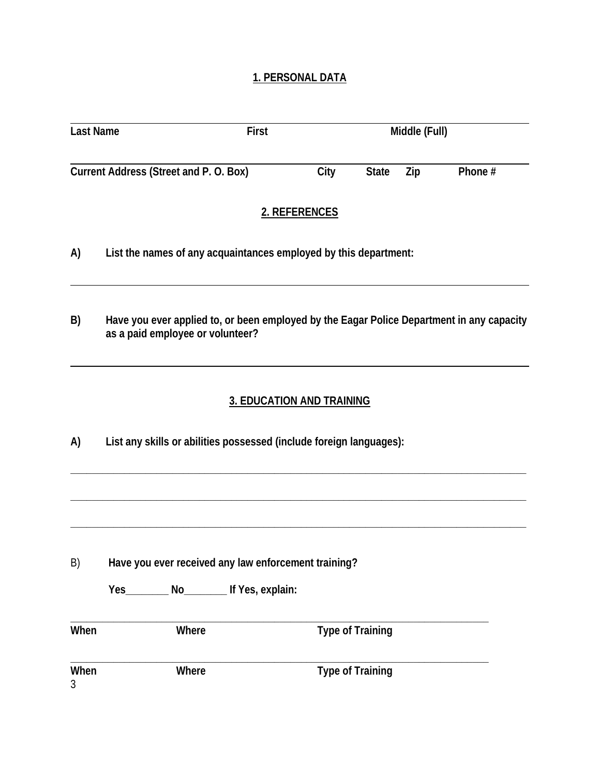#### **1. PERSONAL DATA**

| <b>Last Name</b>                      |                                                                     | First                                                            |                                  |                         | Middle (Full) |                                                                                           |  |  |
|---------------------------------------|---------------------------------------------------------------------|------------------------------------------------------------------|----------------------------------|-------------------------|---------------|-------------------------------------------------------------------------------------------|--|--|
|                                       |                                                                     |                                                                  |                                  |                         |               |                                                                                           |  |  |
| Current Address (Street and P.O. Box) |                                                                     |                                                                  | City                             | <b>State</b>            | Zip           | Phone #                                                                                   |  |  |
|                                       |                                                                     |                                                                  | 2. REFERENCES                    |                         |               |                                                                                           |  |  |
| A)                                    |                                                                     | List the names of any acquaintances employed by this department: |                                  |                         |               |                                                                                           |  |  |
| B)                                    | as a paid employee or volunteer?                                    |                                                                  |                                  |                         |               | Have you ever applied to, or been employed by the Eagar Police Department in any capacity |  |  |
|                                       |                                                                     |                                                                  | <b>3. EDUCATION AND TRAINING</b> |                         |               |                                                                                           |  |  |
| A)                                    | List any skills or abilities possessed (include foreign languages): |                                                                  |                                  |                         |               |                                                                                           |  |  |
|                                       |                                                                     |                                                                  |                                  |                         |               |                                                                                           |  |  |
| B)                                    | Have you ever received any law enforcement training?                |                                                                  |                                  |                         |               |                                                                                           |  |  |
|                                       |                                                                     | Yes__________ No________ If Yes, explain:                        |                                  |                         |               |                                                                                           |  |  |
| When                                  |                                                                     | Where                                                            |                                  | <b>Type of Training</b> |               |                                                                                           |  |  |
| When<br>3                             |                                                                     | Where                                                            |                                  | <b>Type of Training</b> |               |                                                                                           |  |  |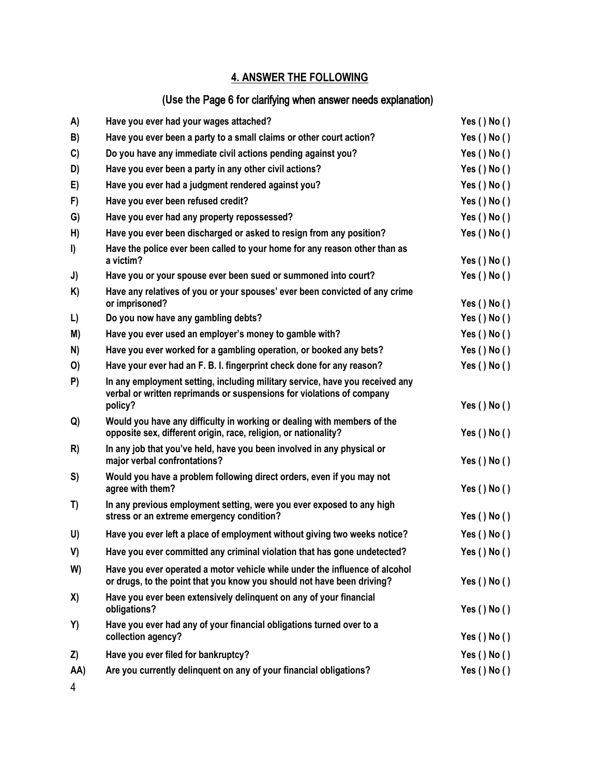#### **4. ANSWER THE FOLLOWING**

## **(Use the** Page 6 **for** clarifying when answer needs explanation**)**

| A)  | Have you ever had your wages attached?                                                                                                                           | Yes ( ) No ( )     |
|-----|------------------------------------------------------------------------------------------------------------------------------------------------------------------|--------------------|
| B)  | Have you ever been a party to a small claims or other court action?                                                                                              | Yes ( ) No ( )     |
| C)  | Do you have any immediate civil actions pending against you?                                                                                                     | Yes ( ) No ( )     |
| D)  | Have you ever been a party in any other civil actions?                                                                                                           | Yes $()$ No $()$   |
| E)  | Have you ever had a judgment rendered against you?                                                                                                               | Yes ( ) No ( )     |
| F)  | Have you ever been refused credit?                                                                                                                               | Yes ( ) No ( )     |
| G)  | Have you ever had any property repossessed?                                                                                                                      | Yes ( ) No ( )     |
| H)  | Have you ever been discharged or asked to resign from any position?                                                                                              | Yes $()$ No $()$   |
| I)  | Have the police ever been called to your home for any reason other than as<br>a victim?                                                                          | Yes $()$ No $()$   |
| J)  | Have you or your spouse ever been sued or summoned into court?                                                                                                   | Yes $()$ No $()$   |
| K)  | Have any relatives of you or your spouses' ever been convicted of any crime<br>or imprisoned?                                                                    | Yes $()$ No $()$   |
| L)  | Do you now have any gambling debts?                                                                                                                              | Yes ( ) No ( )     |
| M)  | Have you ever used an employer's money to gamble with?                                                                                                           | Yes ( ) No ( )     |
| N)  | Have you ever worked for a gambling operation, or booked any bets?                                                                                               | Yes $()$ No $()$   |
| O)  | Have your ever had an F. B. I. fingerprint check done for any reason?                                                                                            | Yes ( ) No ( )     |
| P)  | In any employment setting, including military service, have you received any<br>verbal or written reprimands or suspensions for violations of company<br>policy? | Yes ( $)$ No ( $)$ |
| Q)  | Would you have any difficulty in working or dealing with members of the<br>opposite sex, different origin, race, religion, or nationality?                       | Yes $()$ No $()$   |
| R)  | In any job that you've held, have you been involved in any physical or<br>major verbal confrontations?                                                           | Yes $()$ No $()$   |
| S)  | Would you have a problem following direct orders, even if you may not<br>agree with them?                                                                        | Yes $()$ No $()$   |
| T)  | In any previous employment setting, were you ever exposed to any high<br>stress or an extreme emergency condition?                                               | Yes ( ) No ( )     |
| U)  | Have you ever left a place of employment without giving two weeks notice?                                                                                        | Yes ( $)$ No ( $)$ |
| V)  | Have you ever committed any criminal violation that has gone undetected?                                                                                         | Yes $()$ No $()$   |
| W)  | Have you ever operated a motor vehicle while under the influence of alcohol<br>or drugs, to the point that you know you should not have been driving?            | Yes $()$ No $()$   |
| X)  | Have you ever been extensively delinguent on any of your financial<br>obligations?                                                                               | Yes $()$ No $()$   |
| Y)  | Have you ever had any of your financial obligations turned over to a<br>collection agency?                                                                       | Yes $()$ No $()$   |
| Z)  | Have you ever filed for bankruptcy?                                                                                                                              | Yes ( ) No ( )     |
| AA) | Are you currently delinquent on any of your financial obligations?                                                                                               | Yes ( ) No ( )     |
|     |                                                                                                                                                                  |                    |

4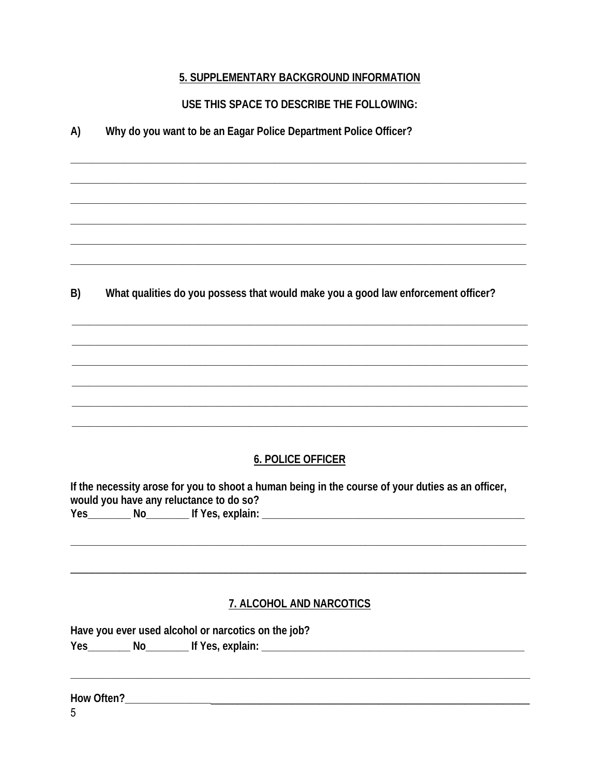#### 5. SUPPLEMENTARY BACKGROUND INFORMATION

USE THIS SPACE TO DESCRIBE THE FOLLOWING:

| A) | Why do you want to be an Eagar Police Department Police Officer? |  |  |  |
|----|------------------------------------------------------------------|--|--|--|
|    |                                                                  |  |  |  |

B) What qualities do you possess that would make you a good law enforcement officer?

#### **6. POLICE OFFICER**

If the necessity arose for you to shoot a human being in the course of your duties as an officer, would you have any reluctance to do so? Yes No If Yes, explain:

#### 7. ALCOHOL AND NARCOTICS

Have you ever used alcohol or narcotics on the job?

Yes \_\_\_\_\_\_\_\_\_\_ No\_\_\_\_\_\_\_\_\_\_\_\_ If Yes, explain: \_\_\_\_\_\_\_\_\_\_\_\_\_\_\_\_\_\_\_\_\_\_\_\_\_\_\_\_\_\_\_\_\_\_

5